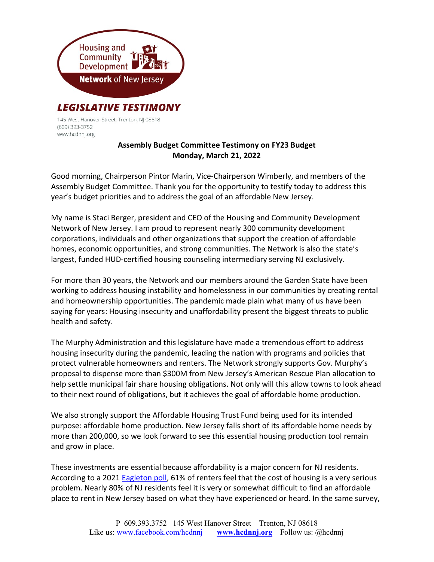

145 West Hanover Street, Trenton, NJ 08618 (609) 393-3752 www.hcdnnj.org

## Assembly Budget Committee Testimony on FY23 Budget Monday, March 21, 2022

Good morning, Chairperson Pintor Marin, Vice-Chairperson Wimberly, and members of the Assembly Budget Committee. Thank you for the opportunity to testify today to address this year's budget priorities and to address the goal of an affordable New Jersey.

My name is Staci Berger, president and CEO of the Housing and Community Development Network of New Jersey. I am proud to represent nearly 300 community development corporations, individuals and other organizations that support the creation of affordable homes, economic opportunities, and strong communities. The Network is also the state's largest, funded HUD-certified housing counseling intermediary serving NJ exclusively.

For more than 30 years, the Network and our members around the Garden State have been working to address housing instability and homelessness in our communities by creating rental and homeownership opportunities. The pandemic made plain what many of us have been saying for years: Housing insecurity and unaffordability present the biggest threats to public health and safety.

The Murphy Administration and this legislature have made a tremendous effort to address housing insecurity during the pandemic, leading the nation with programs and policies that protect vulnerable homeowners and renters. The Network strongly supports Gov. Murphy's proposal to dispense more than \$300M from New Jersey's American Rescue Plan allocation to help settle municipal fair share housing obligations. Not only will this allow towns to look ahead to their next round of obligations, but it achieves the goal of affordable home production.

We also strongly support the Affordable Housing Trust Fund being used for its intended purpose: affordable home production. New Jersey falls short of its affordable home needs by more than 200,000, so we look forward to see this essential housing production tool remain and grow in place.

These investments are essential because affordability is a major concern for NJ residents. According to a 2021 Eagleton poll, 61% of renters feel that the cost of housing is a very serious problem. Nearly 80% of NJ residents feel it is very or somewhat difficult to find an affordable place to rent in New Jersey based on what they have experienced or heard. In the same survey,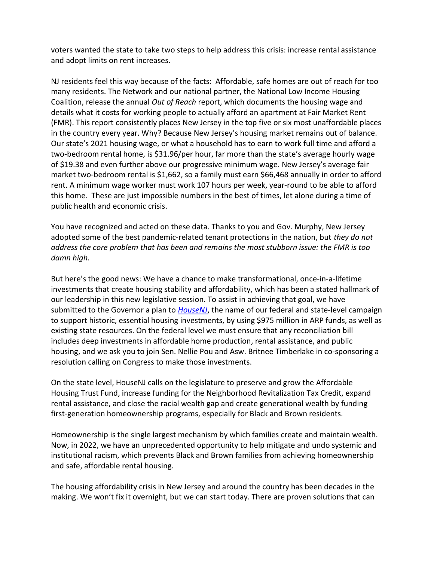voters wanted the state to take two steps to help address this crisis: increase rental assistance and adopt limits on rent increases.

NJ residents feel this way because of the facts: Affordable, safe homes are out of reach for too many residents. The Network and our national partner, the National Low Income Housing Coalition, release the annual Out of Reach report, which documents the housing wage and details what it costs for working people to actually afford an apartment at Fair Market Rent (FMR). This report consistently places New Jersey in the top five or six most unaffordable places in the country every year. Why? Because New Jersey's housing market remains out of balance. Our state's 2021 housing wage, or what a household has to earn to work full time and afford a two-bedroom rental home, is \$31.96/per hour, far more than the state's average hourly wage of \$19.38 and even further above our progressive minimum wage. New Jersey's average fair market two-bedroom rental is \$1,662, so a family must earn \$66,468 annually in order to afford rent. A minimum wage worker must work 107 hours per week, year-round to be able to afford this home. These are just impossible numbers in the best of times, let alone during a time of public health and economic crisis.

You have recognized and acted on these data. Thanks to you and Gov. Murphy, New Jersey adopted some of the best pandemic-related tenant protections in the nation, but they do not address the core problem that has been and remains the most stubborn issue: the FMR is too damn high.

But here's the good news: We have a chance to make transformational, once-in-a-lifetime investments that create housing stability and affordability, which has been a stated hallmark of our leadership in this new legislative session. To assist in achieving that goal, we have submitted to the Governor a plan to  $House$ , the name of our federal and state-level campaign to support historic, essential housing investments, by using \$975 million in ARP funds, as well as existing state resources. On the federal level we must ensure that any reconciliation bill includes deep investments in affordable home production, rental assistance, and public housing, and we ask you to join Sen. Nellie Pou and Asw. Britnee Timberlake in co-sponsoring a resolution calling on Congress to make those investments.

On the state level, HouseNJ calls on the legislature to preserve and grow the Affordable Housing Trust Fund, increase funding for the Neighborhood Revitalization Tax Credit, expand rental assistance, and close the racial wealth gap and create generational wealth by funding first-generation homeownership programs, especially for Black and Brown residents.

Homeownership is the single largest mechanism by which families create and maintain wealth. Now, in 2022, we have an unprecedented opportunity to help mitigate and undo systemic and institutional racism, which prevents Black and Brown families from achieving homeownership and safe, affordable rental housing.

The housing affordability crisis in New Jersey and around the country has been decades in the making. We won't fix it overnight, but we can start today. There are proven solutions that can